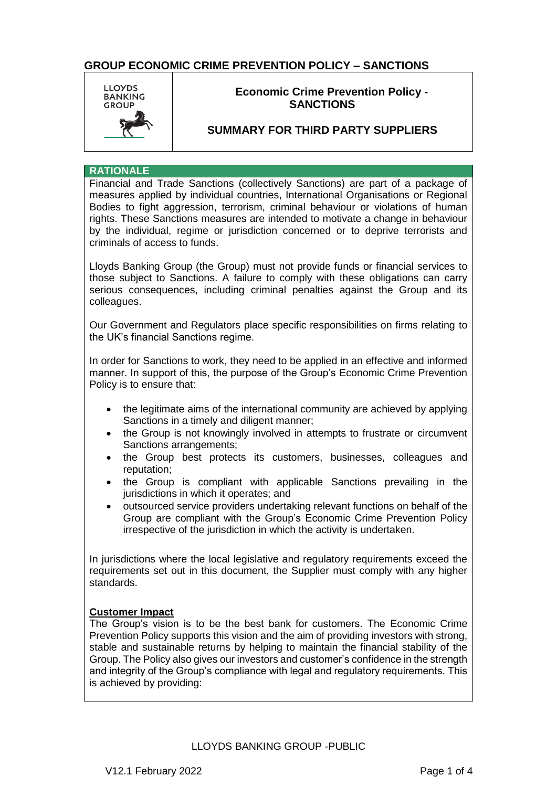

### **Economic Crime Prevention Policy - SANCTIONS**

### **SUMMARY FOR THIRD PARTY SUPPLIERS**

#### **RATIONALE**

Financial and Trade Sanctions (collectively Sanctions) are part of a package of measures applied by individual countries, International Organisations or Regional Bodies to fight aggression, terrorism, criminal behaviour or violations of human rights. These Sanctions measures are intended to motivate a change in behaviour by the individual, regime or jurisdiction concerned or to deprive terrorists and criminals of access to funds.

Lloyds Banking Group (the Group) must not provide funds or financial services to those subject to Sanctions. A failure to comply with these obligations can carry serious consequences, including criminal penalties against the Group and its colleagues.

Our Government and Regulators place specific responsibilities on firms relating to the UK's financial Sanctions regime.

In order for Sanctions to work, they need to be applied in an effective and informed manner. In support of this, the purpose of the Group's Economic Crime Prevention Policy is to ensure that:

- the legitimate aims of the international community are achieved by applying Sanctions in a timely and diligent manner;
- the Group is not knowingly involved in attempts to frustrate or circumvent Sanctions arrangements;
- the Group best protects its customers, businesses, colleagues and reputation;
- the Group is compliant with applicable Sanctions prevailing in the jurisdictions in which it operates; and
- outsourced service providers undertaking relevant functions on behalf of the Group are compliant with the Group's Economic Crime Prevention Policy irrespective of the jurisdiction in which the activity is undertaken.

In jurisdictions where the local legislative and regulatory requirements exceed the requirements set out in this document, the Supplier must comply with any higher standards.

#### **Customer Impact**

The Group's vision is to be the best bank for customers. The Economic Crime Prevention Policy supports this vision and the aim of providing investors with strong, stable and sustainable returns by helping to maintain the financial stability of the Group. The Policy also gives our investors and customer's confidence in the strength and integrity of the Group's compliance with legal and regulatory requirements. This is achieved by providing: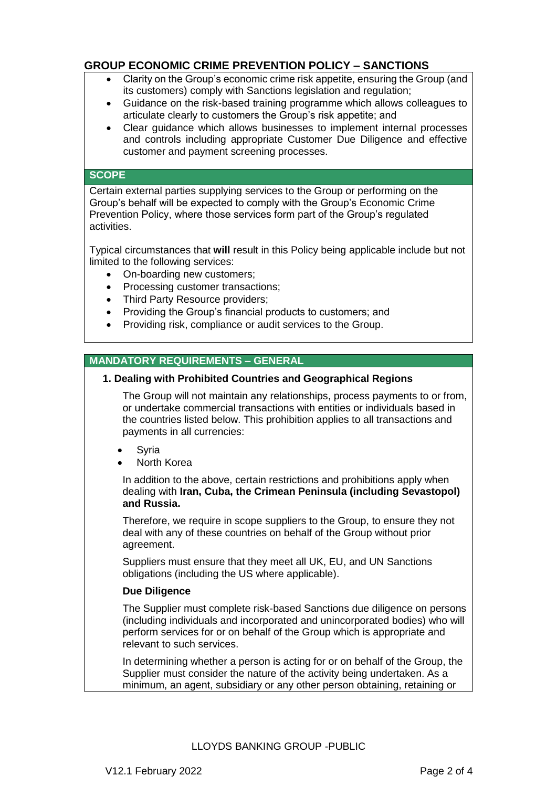- Clarity on the Group's economic crime risk appetite, ensuring the Group (and its customers) comply with Sanctions legislation and regulation;
- Guidance on the risk-based training programme which allows colleagues to articulate clearly to customers the Group's risk appetite; and
- Clear guidance which allows businesses to implement internal processes and controls including appropriate Customer Due Diligence and effective customer and payment screening processes.

### **SCOPE**

Certain external parties supplying services to the Group or performing on the Group's behalf will be expected to comply with the Group's Economic Crime Prevention Policy, where those services form part of the Group's regulated activities.

Typical circumstances that **will** result in this Policy being applicable include but not limited to the following services:

- On-boarding new customers;
- Processing customer transactions;
- Third Party Resource providers;
- Providing the Group's financial products to customers; and
- Providing risk, compliance or audit services to the Group.

### **MANDATORY REQUIREMENTS – GENERAL**

#### **1. Dealing with Prohibited Countries and Geographical Regions**

The Group will not maintain any relationships, process payments to or from, or undertake commercial transactions with entities or individuals based in the countries listed below. This prohibition applies to all transactions and payments in all currencies:

- Syria
- North Korea

In addition to the above, certain restrictions and prohibitions apply when dealing with **Iran, Cuba, the Crimean Peninsula (including Sevastopol) and Russia.**

Therefore, we require in scope suppliers to the Group, to ensure they not deal with any of these countries on behalf of the Group without prior agreement.

Suppliers must ensure that they meet all UK, EU, and UN Sanctions obligations (including the US where applicable).

#### **Due Diligence**

The Supplier must complete risk-based Sanctions due diligence on persons (including individuals and incorporated and unincorporated bodies) who will perform services for or on behalf of the Group which is appropriate and relevant to such services.

In determining whether a person is acting for or on behalf of the Group, the Supplier must consider the nature of the activity being undertaken. As a minimum, an agent, subsidiary or any other person obtaining, retaining or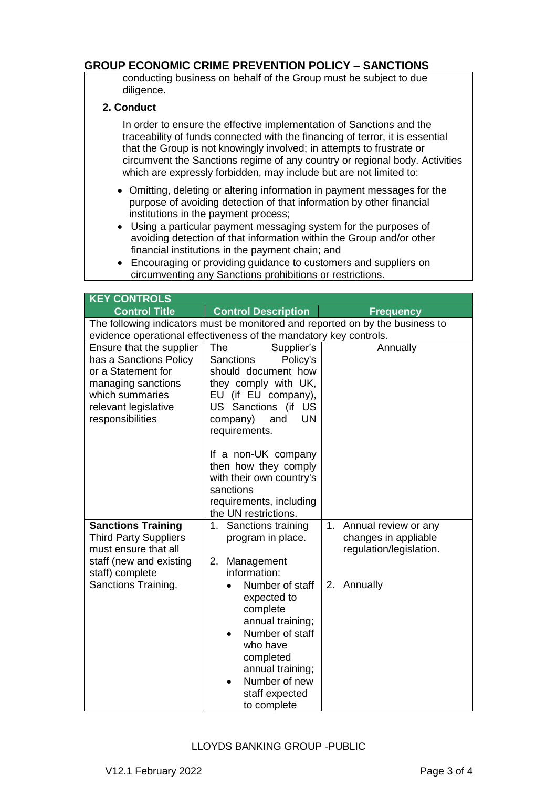conducting business on behalf of the Group must be subject to due diligence.

#### **2. Conduct**

In order to ensure the effective implementation of Sanctions and the traceability of funds connected with the financing of terror, it is essential that the Group is not knowingly involved; in attempts to frustrate or circumvent the Sanctions regime of any country or regional body. Activities which are expressly forbidden, may include but are not limited to:

- Omitting, deleting or altering information in payment messages for the purpose of avoiding detection of that information by other financial institutions in the payment process;
- Using a particular payment messaging system for the purposes of avoiding detection of that information within the Group and/or other financial institutions in the payment chain; and
- Encouraging or providing guidance to customers and suppliers on circumventing any Sanctions prohibitions or restrictions.

| <b>KEY CONTROLS</b>                                                                                                                                           |                                                                                                                                                                                                                                                                                                                    |                                                                               |  |
|---------------------------------------------------------------------------------------------------------------------------------------------------------------|--------------------------------------------------------------------------------------------------------------------------------------------------------------------------------------------------------------------------------------------------------------------------------------------------------------------|-------------------------------------------------------------------------------|--|
| <b>Control Title</b>                                                                                                                                          | <b>Control Description</b>                                                                                                                                                                                                                                                                                         | <b>Frequency</b>                                                              |  |
| The following indicators must be monitored and reported on by the business to<br>evidence operational effectiveness of the mandatory key controls.            |                                                                                                                                                                                                                                                                                                                    |                                                                               |  |
| Ensure that the supplier<br>has a Sanctions Policy<br>or a Statement for<br>managing sanctions<br>which summaries<br>relevant legislative<br>responsibilities | The<br>Supplier's<br><b>Sanctions</b><br>Policy's<br>should document how<br>they comply with UK,<br>EU (if EU company),<br>US Sanctions (if US<br><b>UN</b><br>company)<br>and<br>requirements.<br>If a non-UK company<br>then how they comply<br>with their own country's<br>sanctions<br>requirements, including | Annually                                                                      |  |
|                                                                                                                                                               | the UN restrictions.                                                                                                                                                                                                                                                                                               |                                                                               |  |
| <b>Sanctions Training</b><br><b>Third Party Suppliers</b><br>must ensure that all<br>staff (new and existing                                                  | 1. Sanctions training<br>program in place.<br>Management<br>2.                                                                                                                                                                                                                                                     | 1.<br>Annual review or any<br>changes in appliable<br>regulation/legislation. |  |
| staff) complete<br>Sanctions Training.                                                                                                                        | information:<br>Number of staff<br>expected to<br>complete<br>annual training;<br>Number of staff<br>who have<br>completed<br>annual training;<br>Number of new<br>staff expected<br>to complete                                                                                                                   | 2. Annually                                                                   |  |

#### LLOYDS BANKING GROUP -PUBLIC